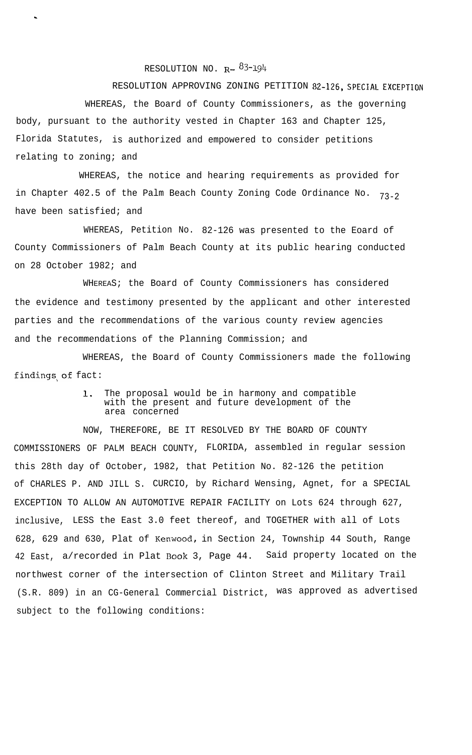## RESOLUTION NO.  $R - \frac{83-194}{5}$

.

RESOLUTION APPROVING ZONING PETITION 82-126, SPECIAL EXCEPTION WHEREAS, the Board of County Commissioners, as the governing body, pursuant to the authority vested in Chapter 163 and Chapter 125, Florida Statutes, is authorized and empowered to consider petitions relating to zoning; and

WHEREAS, the notice and hearing requirements as provided for in Chapter 402.5 of the Palm Beach County Zoning Code Ordinance No.  $73-2$ have been satisfied; and

WHEREAS, Petition No. 82-126 was presented to the Eoard of County Commissioners of Palm Beach County at its public hearing conducted on 28 October 1982; and

WHEREAS; the Board of County Commissioners has considered the evidence and testimony presented by the applicant and other interested parties and the recommendations of the various county review agencies and the recommendations of the Planning Commission; and

WHEREAS, the Board of County Commissioners made the following findings,of fact:

## 1. The proposal would be in harmony and compatible with the present and future development of the area concerned

NOW, THEREFORE, BE IT RESOLVED BY THE BOARD OF COUNTY COMMISSIONERS OF PALM BEACH COUNTY, FLORIDA, assembled in regular session this 28th day of October, 1982, that Petition No. 82-126 the petition of CHARLES P. AND JILL S. CURCIO, by Richard Wensing, Agnet, for a SPECIAL EXCEPTION TO ALLOW AN AUTOMOTIVE REPAIR FACILITY on Lots 624 through 627, inclusive, LESS the East 3.0 feet thereof, and TOGETHER with all of Lots 628, 629 and 630, Plat of Kenwood, in Section 24, Township 44 South, Range 42 East, a/recorded in Plat Book 3, Page 44. Said property located on the northwest corner of the intersection of Clinton Street and Military Trail (S.R. 809) in an CG-General Commercial District, was approved as advertised subject to the following conditions: